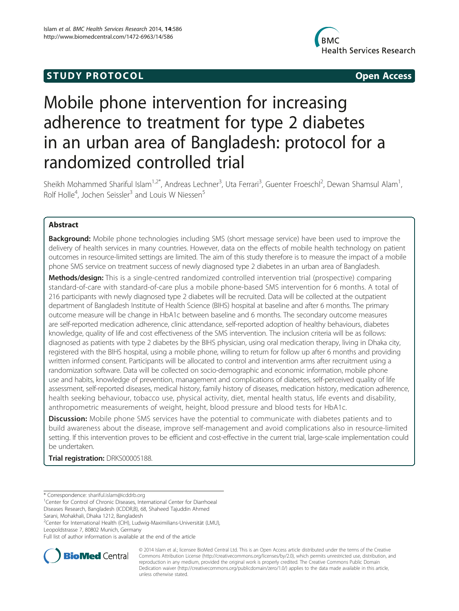## **STUDY PROTOCOL CONSUMING THE STUDY PROTOCOL**



# Mobile phone intervention for increasing adherence to treatment for type 2 diabetes in an urban area of Bangladesh: protocol for a randomized controlled trial

Sheikh Mohammed Shariful Islam<sup>1,2\*</sup>, Andreas Lechner<sup>3</sup>, Uta Ferrari<sup>3</sup>, Guenter Froeschl<sup>2</sup>, Dewan Shamsul Alam<sup>1</sup> , Rolf Holle<sup>4</sup>, Jochen Seissler<sup>3</sup> and Louis W Niessen<sup>5</sup>

## Abstract

Background: Mobile phone technologies including SMS (short message service) have been used to improve the delivery of health services in many countries. However, data on the effects of mobile health technology on patient outcomes in resource-limited settings are limited. The aim of this study therefore is to measure the impact of a mobile phone SMS service on treatment success of newly diagnosed type 2 diabetes in an urban area of Bangladesh.

Methods/design: This is a single-centred randomized controlled intervention trial (prospective) comparing standard-of-care with standard-of-care plus a mobile phone-based SMS intervention for 6 months. A total of 216 participants with newly diagnosed type 2 diabetes will be recruited. Data will be collected at the outpatient department of Bangladesh Institute of Health Science (BIHS) hospital at baseline and after 6 months. The primary outcome measure will be change in HbA1c between baseline and 6 months. The secondary outcome measures are self-reported medication adherence, clinic attendance, self-reported adoption of healthy behaviours, diabetes knowledge, quality of life and cost effectiveness of the SMS intervention. The inclusion criteria will be as follows: diagnosed as patients with type 2 diabetes by the BIHS physician, using oral medication therapy, living in Dhaka city, registered with the BIHS hospital, using a mobile phone, willing to return for follow up after 6 months and providing written informed consent. Participants will be allocated to control and intervention arms after recruitment using a randomization software. Data will be collected on socio-demographic and economic information, mobile phone use and habits, knowledge of prevention, management and complications of diabetes, self-perceived quality of life assessment, self-reported diseases, medical history, family history of diseases, medication history, medication adherence, health seeking behaviour, tobacco use, physical activity, diet, mental health status, life events and disability, anthropometric measurements of weight, height, blood pressure and blood tests for HbA1c.

**Discussion:** Mobile phone SMS services have the potential to communicate with diabetes patients and to build awareness about the disease, improve self-management and avoid complications also in resource-limited setting. If this intervention proves to be efficient and cost-effective in the current trial, large-scale implementation could be undertaken.

Trial registration: [DRKS00005188](https://drks-neu.uniklinik-freiburg.de/drks_web/navigate.do?navigationId=trial.HTML&TRIAL_ID=DRKS00005188).

\* Correspondence: [shariful.islam@icddrb.org](mailto:shariful.islam@icddrb.org) <sup>1</sup>

<sup>1</sup> Center for Control of Chronic Diseases, International Center for Diarrhoeal Diseases Research, Bangladesh (ICDDR,B), 68, Shaheed Tajuddin Ahmed

Sarani, Mohakhali, Dhaka 1212, Bangladesh

2 Center for International Health (CIH), Ludwig-Maximilians-Universität (LMU), Leopoldstrasse 7, 80802 Munich, Germany

Full list of author information is available at the end of the article



© 2014 Islam et al.; licensee BioMed Central Ltd. This is an Open Access article distributed under the terms of the Creative Commons Attribution License [\(http://creativecommons.org/licenses/by/2.0\)](http://creativecommons.org/licenses/by/2.0), which permits unrestricted use, distribution, and reproduction in any medium, provided the original work is properly credited. The Creative Commons Public Domain Dedication waiver [\(http://creativecommons.org/publicdomain/zero/1.0/](http://creativecommons.org/publicdomain/zero/1.0/)) applies to the data made available in this article, unless otherwise stated.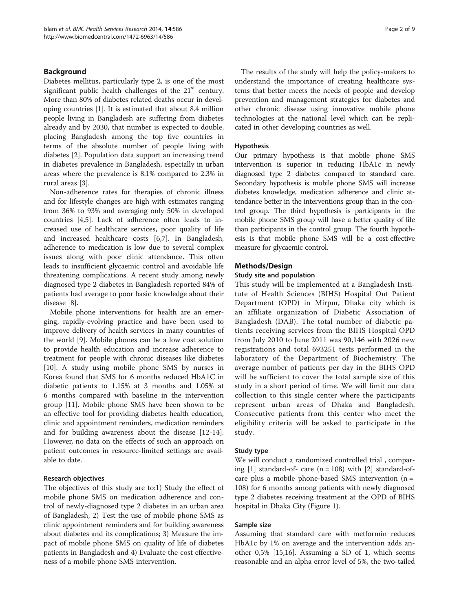## Background

Diabetes mellitus, particularly type 2, is one of the most significant public health challenges of the  $21<sup>st</sup>$  century. More than 80% of diabetes related deaths occur in developing countries [[1\]](#page-7-0). It is estimated that about 8.4 million people living in Bangladesh are suffering from diabetes already and by 2030, that number is expected to double, placing Bangladesh among the top five countries in terms of the absolute number of people living with diabetes [[2\]](#page-7-0). Population data support an increasing trend in diabetes prevalence in Bangladesh, especially in urban areas where the prevalence is 8.1% compared to 2.3% in rural areas [\[3](#page-7-0)].

Non-adherence rates for therapies of chronic illness and for lifestyle changes are high with estimates ranging from 36% to 93% and averaging only 50% in developed countries [\[4,5](#page-7-0)]. Lack of adherence often leads to increased use of healthcare services, poor quality of life and increased healthcare costs [[6,7\]](#page-7-0). In Bangladesh, adherence to medication is low due to several complex issues along with poor clinic attendance. This often leads to insufficient glycaemic control and avoidable life threatening complications. A recent study among newly diagnosed type 2 diabetes in Bangladesh reported 84% of patients had average to poor basic knowledge about their disease [\[8](#page-7-0)].

Mobile phone interventions for health are an emerging, rapidly-evolving practice and have been used to improve delivery of health services in many countries of the world [[9\]](#page-7-0). Mobile phones can be a low cost solution to provide health education and increase adherence to treatment for people with chronic diseases like diabetes [[10\]](#page-7-0). A study using mobile phone SMS by nurses in Korea found that SMS for 6 months reduced HbA1C in diabetic patients to 1.15% at 3 months and 1.05% at 6 months compared with baseline in the intervention group [[11\]](#page-7-0). Mobile phone SMS have been shown to be an effective tool for providing diabetes health education, clinic and appointment reminders, medication reminders and for building awareness about the disease [\[12-14](#page-7-0)]. However, no data on the effects of such an approach on patient outcomes in resource-limited settings are available to date.

## Research objectives

The objectives of this study are to:1) Study the effect of mobile phone SMS on medication adherence and control of newly-diagnosed type 2 diabetes in an urban area of Bangladesh; 2) Test the use of mobile phone SMS as clinic appointment reminders and for building awareness about diabetes and its complications; 3) Measure the impact of mobile phone SMS on quality of life of diabetes patients in Bangladesh and 4) Evaluate the cost effectiveness of a mobile phone SMS intervention.

The results of the study will help the policy-makers to understand the importance of creating healthcare systems that better meets the needs of people and develop prevention and management strategies for diabetes and other chronic disease using innovative mobile phone technologies at the national level which can be replicated in other developing countries as well.

#### Hypothesis

Our primary hypothesis is that mobile phone SMS intervention is superior in reducing HbA1c in newly diagnosed type 2 diabetes compared to standard care. Secondary hypothesis is mobile phone SMS will increase diabetes knowledge, medication adherence and clinic attendance better in the interventions group than in the control group. The third hypothesis is participants in the mobile phone SMS group will have a better quality of life than participants in the control group. The fourth hypothesis is that mobile phone SMS will be a cost-effective measure for glycaemic control.

#### Methods/Design

#### Study site and population

This study will be implemented at a Bangladesh Institute of Health Sciences (BIHS) Hospital Out Patient Department (OPD) in Mirpur, Dhaka city which is an affiliate organization of Diabetic Association of Bangladesh (DAB). The total number of diabetic patients receiving services from the BIHS Hospital OPD from July 2010 to June 2011 was 90,146 with 2026 new registrations and total 693251 tests performed in the laboratory of the Department of Biochemistry. The average number of patients per day in the BIHS OPD will be sufficient to cover the total sample size of this study in a short period of time. We will limit our data collection to this single center where the participants represent urban areas of Dhaka and Bangladesh. Consecutive patients from this center who meet the eligibility criteria will be asked to participate in the study.

#### Study type

We will conduct a randomized controlled trial , comparing  $[1]$  $[1]$  standard-of- care  $(n = 108)$  with  $[2]$  $[2]$  standard-ofcare plus a mobile phone-based SMS intervention  $(n =$ 108) for 6 months among patients with newly diagnosed type 2 diabetes receiving treatment at the OPD of BIHS hospital in Dhaka City (Figure [1](#page-2-0)).

#### Sample size

Assuming that standard care with metformin reduces HbA1c by 1% on average and the intervention adds another 0,5% [[15](#page-7-0),[16](#page-7-0)]. Assuming a SD of 1, which seems reasonable and an alpha error level of 5%, the two-tailed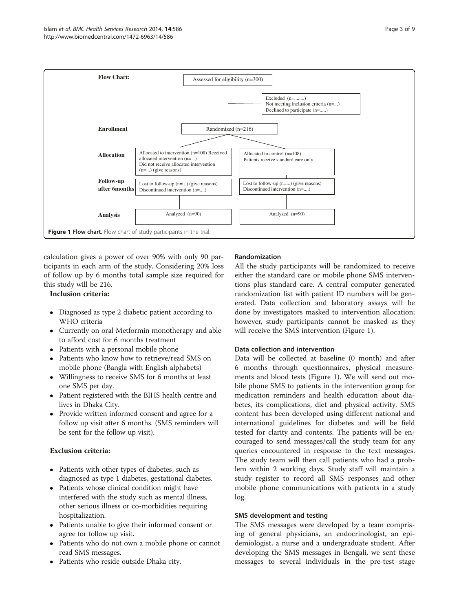<span id="page-2-0"></span>

calculation gives a power of over 90% with only 90 participants in each arm of the study. Considering 20% loss of follow up by 6 months total sample size required for this study will be 216.

#### Inclusion criteria:

- Diagnosed as type 2 diabetic patient according to WHO criteria
- Currently on oral Metformin monotherapy and able to afford cost for 6 months treatment
- Patients with a personal mobile phone
- Patients who know how to retrieve/read SMS on mobile phone (Bangla with English alphabets)
- Willingness to receive SMS for 6 months at least one SMS per day.
- Patient registered with the BIHS health centre and lives in Dhaka City.
- Provide written informed consent and agree for a follow up visit after 6 months. (SMS reminders will be sent for the follow up visit).

## Exclusion criteria:

- Patients with other types of diabetes, such as diagnosed as type 1 diabetes, gestational diabetes.
- Patients whose clinical condition might have interfered with the study such as mental illness, other serious illness or co-morbidities requiring hospitalization.
- Patients unable to give their informed consent or agree for follow up visit.
- Patients who do not own a mobile phone or cannot read SMS messages.
- Patients who reside outside Dhaka city.

## Randomization

All the study participants will be randomized to receive either the standard care or mobile phone SMS interventions plus standard care. A central computer generated randomization list with patient ID numbers will be generated. Data collection and laboratory assays will be done by investigators masked to intervention allocation; however, study participants cannot be masked as they will receive the SMS intervention (Figure 1).

## Data collection and intervention

Data will be collected at baseline (0 month) and after 6 months through questionnaires, physical measurements and blood tests (Figure 1). We will send out mobile phone SMS to patients in the intervention group for medication reminders and health education about diabetes, its complications, diet and physical activity. SMS content has been developed using different national and international guidelines for diabetes and will be field tested for clarity and contents. The patients will be encouraged to send messages/call the study team for any queries encountered in response to the text messages. The study team will then call patients who had a problem within 2 working days. Study staff will maintain a study register to record all SMS responses and other mobile phone communications with patients in a study log.

## SMS development and testing

The SMS messages were developed by a team comprising of general physicians, an endocrinologist, an epidemiologist, a nurse and a undergraduate student. After developing the SMS messages in Bengali, we sent these messages to several individuals in the pre-test stage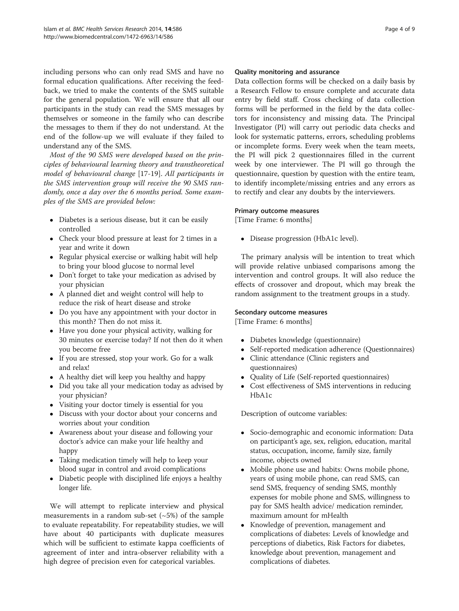including persons who can only read SMS and have no formal education qualifications. After receiving the feedback, we tried to make the contents of the SMS suitable for the general population. We will ensure that all our participants in the study can read the SMS messages by themselves or someone in the family who can describe the messages to them if they do not understand. At the end of the follow-up we will evaluate if they failed to understand any of the SMS.

Most of the 90 SMS were developed based on the principles of behavioural learning theory and transtheoretical model of behavioural change [\[17](#page-7-0)-[19\]](#page-7-0). All participants in the SMS intervention group will receive the 90 SMS randomly, once a day over the 6 months period. Some examples of the SMS are provided below:

- Diabetes is a serious disease, but it can be easily controlled
- Check your blood pressure at least for 2 times in a year and write it down
- Regular physical exercise or walking habit will help to bring your blood glucose to normal level
- Don't forget to take your medication as advised by your physician
- A planned diet and weight control will help to reduce the risk of heart disease and stroke
- Do you have any appointment with your doctor in this month? Then do not miss it.
- Have you done your physical activity, walking for 30 minutes or exercise today? If not then do it when you become free
- If you are stressed, stop your work. Go for a walk and relax!
- A healthy diet will keep you healthy and happy
- Did you take all your medication today as advised by your physician?
- Visiting your doctor timely is essential for you
- Discuss with your doctor about your concerns and worries about your condition
- Awareness about your disease and following your doctor's advice can make your life healthy and happy
- Taking medication timely will help to keep your blood sugar in control and avoid complications
- Diabetic people with disciplined life enjoys a healthy longer life.

We will attempt to replicate interview and physical measurements in a random sub-set  $(-5%)$  of the sample to evaluate repeatability. For repeatability studies, we will have about 40 participants with duplicate measures which will be sufficient to estimate kappa coefficients of agreement of inter and intra-observer reliability with a high degree of precision even for categorical variables.

## Quality monitoring and assurance

Data collection forms will be checked on a daily basis by a Research Fellow to ensure complete and accurate data entry by field staff. Cross checking of data collection forms will be performed in the field by the data collectors for inconsistency and missing data. The Principal Investigator (PI) will carry out periodic data checks and look for systematic patterns, errors, scheduling problems or incomplete forms. Every week when the team meets, the PI will pick 2 questionnaires filled in the current week by one interviewer. The PI will go through the questionnaire, question by question with the entire team, to identify incomplete/missing entries and any errors as to rectify and clear any doubts by the interviewers.

## Primary outcome measures

[Time Frame: 6 months]

Disease progression (HbA1c level).

The primary analysis will be intention to treat which will provide relative unbiased comparisons among the intervention and control groups. It will also reduce the effects of crossover and dropout, which may break the random assignment to the treatment groups in a study.

## Secondary outcome measures

[Time Frame: 6 months]

- Diabetes knowledge (questionnaire)
- Self-reported medication adherence (Questionnaires)<br>• Clinic attendance (Clinic registers and
- Clinic attendance (Clinic registers and questionnaires)
- Quality of Life (Self-reported questionnaires)<br>• Cost effectiveness of SMS interventions in re
- Cost effectiveness of SMS interventions in reducing HbA1c

Description of outcome variables:

- Socio-demographic and economic information: Data on participant's age, sex, religion, education, marital status, occupation, income, family size, family income, objects owned
- Mobile phone use and habits: Owns mobile phone, years of using mobile phone, can read SMS, can send SMS, frequency of sending SMS, monthly expenses for mobile phone and SMS, willingness to pay for SMS health advice/ medication reminder, maximum amount for mHealth
- Knowledge of prevention, management and complications of diabetes: Levels of knowledge and perceptions of diabetics, Risk Factors for diabetes, knowledge about prevention, management and complications of diabetes.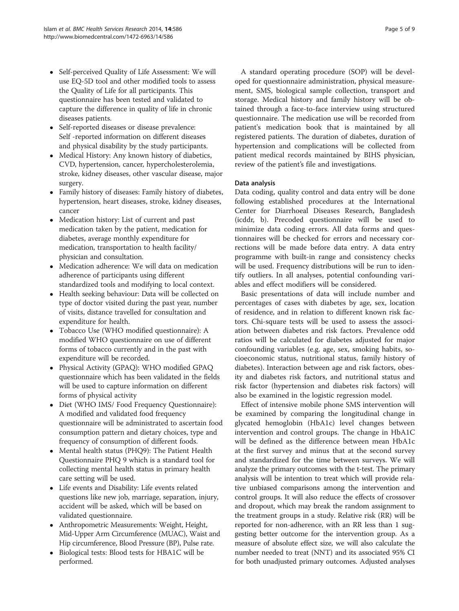- Self-perceived Quality of Life Assessment: We will use EQ-5D tool and other modified tools to assess the Quality of Life for all participants. This questionnaire has been tested and validated to capture the difference in quality of life in chronic diseases patients.
- Self-reported diseases or disease prevalence: Self -reported information on different diseases and physical disability by the study participants.
- Medical History: Any known history of diabetics, CVD, hypertension, cancer, hypercholesterolemia, stroke, kidney diseases, other vascular disease, major surgery.
- Family history of diseases: Family history of diabetes, hypertension, heart diseases, stroke, kidney diseases, cancer
- Medication history: List of current and past medication taken by the patient, medication for diabetes, average monthly expenditure for medication, transportation to health facility/ physician and consultation.
- Medication adherence: We will data on medication adherence of participants using different standardized tools and modifying to local context.
- Health seeking behaviour: Data will be collected on type of doctor visited during the past year, number of visits, distance travelled for consultation and expenditure for health.
- Tobacco Use (WHO modified questionnaire): A modified WHO questionnaire on use of different forms of tobacco currently and in the past with expenditure will be recorded.
- Physical Activity (GPAQ): WHO modified GPAQ questionnaire which has been validated in the fields will be used to capture information on different forms of physical activity
- Diet (WHO IMS/ Food Frequency Questionnaire): A modified and validated food frequency questionnaire will be administrated to ascertain food consumption pattern and dietary choices, type and frequency of consumption of different foods.
- Mental health status (PHQ9): The Patient Health Questionnaire PHQ 9 which is a standard tool for collecting mental health status in primary health care setting will be used.
- Life events and Disability: Life events related questions like new job, marriage, separation, injury, accident will be asked, which will be based on validated questionnaire.
- Anthropometric Measurements: Weight, Height, Mid-Upper Arm Circumference (MUAC), Waist and Hip circumference, Blood Pressure (BP), Pulse rate.
- Biological tests: Blood tests for HBA1C will be performed.

A standard operating procedure (SOP) will be developed for questionnaire administration, physical measurement, SMS, biological sample collection, transport and storage. Medical history and family history will be obtained through a face-to-face interview using structured questionnaire. The medication use will be recorded from patient's medication book that is maintained by all registered patients. The duration of diabetes, duration of hypertension and complications will be collected from patient medical records maintained by BIHS physician, review of the patient's file and investigations.

## Data analysis

Data coding, quality control and data entry will be done following established procedures at the International Center for Diarrhoeal Diseases Research, Bangladesh (icddr, b). Precoded questionnaire will be used to minimize data coding errors. All data forms and questionnaires will be checked for errors and necessary corrections will be made before data entry. A data entry programme with built-in range and consistency checks will be used. Frequency distributions will be run to identify outliers. In all analyses, potential confounding variables and effect modifiers will be considered.

Basic presentations of data will include number and percentages of cases with diabetes by age, sex, location of residence, and in relation to different known risk factors. Chi-square tests will be used to assess the association between diabetes and risk factors. Prevalence odd ratios will be calculated for diabetes adjusted for major confounding variables (e.g. age, sex, smoking habits, socioeconomic status, nutritional status, family history of diabetes). Interaction between age and risk factors, obesity and diabetes risk factors, and nutritional status and risk factor (hypertension and diabetes risk factors) will also be examined in the logistic regression model.

Effect of intensive mobile phone SMS intervention will be examined by comparing the longitudinal change in glycated hemoglobin (HbA1c) level changes between intervention and control groups. The change in HbA1C will be defined as the difference between mean HbA1c at the first survey and minus that at the second survey and standardized for the time between surveys. We will analyze the primary outcomes with the t-test. The primary analysis will be intention to treat which will provide relative unbiased comparisons among the intervention and control groups. It will also reduce the effects of crossover and dropout, which may break the random assignment to the treatment groups in a study. Relative risk (RR) will be reported for non-adherence, with an RR less than 1 suggesting better outcome for the intervention group. As a measure of absolute effect size, we will also calculate the number needed to treat (NNT) and its associated 95% CI for both unadjusted primary outcomes. Adjusted analyses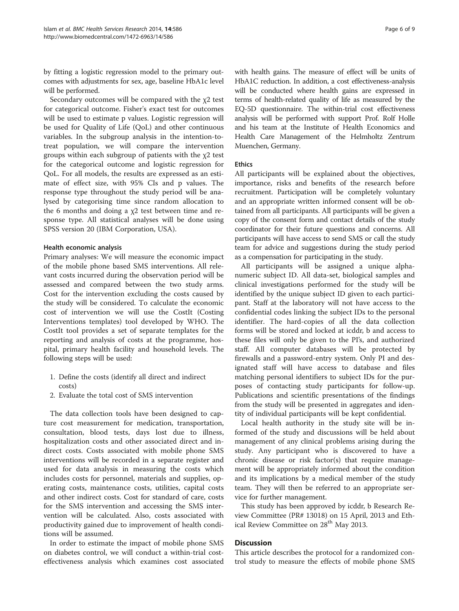by fitting a logistic regression model to the primary outcomes with adjustments for sex, age, baseline HbA1c level will be performed.

Secondary outcomes will be compared with the χ2 test for categorical outcome. Fisher's exact test for outcomes will be used to estimate p values. Logistic regression will be used for Quality of Life (QoL) and other continuous variables. In the subgroup analysis in the intention-totreat population, we will compare the intervention groups within each subgroup of patients with the χ2 test for the categorical outcome and logistic regression for QoL. For all models, the results are expressed as an estimate of effect size, with 95% CIs and p values. The response type throughout the study period will be analysed by categorising time since random allocation to the 6 months and doing a  $x^2$  test between time and response type. All statistical analyses will be done using SPSS version 20 (IBM Corporation, USA).

#### Health economic analysis

Primary analyses: We will measure the economic impact of the mobile phone based SMS interventions. All relevant costs incurred during the observation period will be assessed and compared between the two study arms. Cost for the intervention excluding the costs caused by the study will be considered. To calculate the economic cost of intervention we will use the CostIt (Costing Interventions templates) tool developed by WHO. The CostIt tool provides a set of separate templates for the reporting and analysis of costs at the programme, hospital, primary health facility and household levels. The following steps will be used:

- 1. Define the costs (identify all direct and indirect costs)
- 2. Evaluate the total cost of SMS intervention

The data collection tools have been designed to capture cost measurement for medication, transportation, consultation, blood tests, days lost due to illness, hospitalization costs and other associated direct and indirect costs. Costs associated with mobile phone SMS interventions will be recorded in a separate register and used for data analysis in measuring the costs which includes costs for personnel, materials and supplies, operating costs, maintenance costs, utilities, capital costs and other indirect costs. Cost for standard of care, costs for the SMS intervention and accessing the SMS intervention will be calculated. Also, costs associated with productivity gained due to improvement of health conditions will be assumed.

In order to estimate the impact of mobile phone SMS on diabetes control, we will conduct a within-trial costeffectiveness analysis which examines cost associated

with health gains. The measure of effect will be units of HbA1C reduction. In addition, a cost effectiveness-analysis will be conducted where health gains are expressed in terms of health-related quality of life as measured by the EQ-5D questionnaire. The within-trial cost effectiveness analysis will be performed with support Prof. Rolf Holle and his team at the Institute of Health Economics and Health Care Management of the Helmholtz Zentrum Muenchen, Germany.

#### Ethics

All participants will be explained about the objectives, importance, risks and benefits of the research before recruitment. Participation will be completely voluntary and an appropriate written informed consent will be obtained from all participants. All participants will be given a copy of the consent form and contact details of the study coordinator for their future questions and concerns. All participants will have access to send SMS or call the study team for advice and suggestions during the study period as a compensation for participating in the study.

All participants will be assigned a unique alphanumeric subject ID. All data-set, biological samples and clinical investigations performed for the study will be identified by the unique subject ID given to each participant. Staff at the laboratory will not have access to the confidential codes linking the subject IDs to the personal identifier. The hard-copies of all the data collection forms will be stored and locked at icddr, b and access to these files will only be given to the PI's, and authorized staff. All computer databases will be protected by firewalls and a password-entry system. Only PI and designated staff will have access to database and files matching personal identifiers to subject IDs for the purposes of contacting study participants for follow-up. Publications and scientific presentations of the findings from the study will be presented in aggregates and identity of individual participants will be kept confidential.

Local health authority in the study site will be informed of the study and discussions will be held about management of any clinical problems arising during the study. Any participant who is discovered to have a chronic disease or risk factor(s) that require management will be appropriately informed about the condition and its implications by a medical member of the study team. They will then be referred to an appropriate service for further management.

This study has been approved by icddr, b Research Review Committee (PR# 13018) on 15 April, 2013 and Ethical Review Committee on 28<sup>th</sup> May 2013.

## Discussion

This article describes the protocol for a randomized control study to measure the effects of mobile phone SMS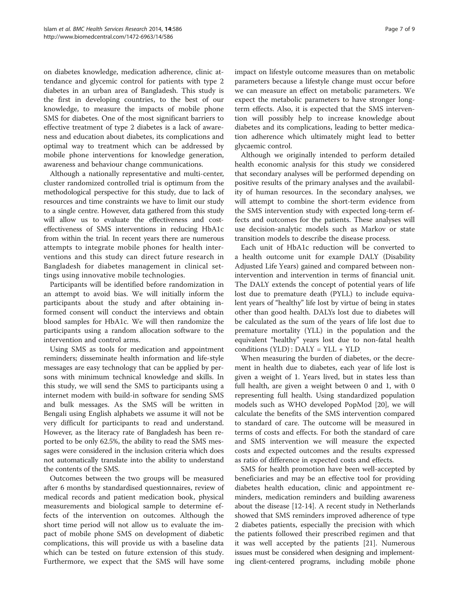on diabetes knowledge, medication adherence, clinic attendance and glycemic control for patients with type 2 diabetes in an urban area of Bangladesh. This study is the first in developing countries, to the best of our knowledge, to measure the impacts of mobile phone SMS for diabetes. One of the most significant barriers to effective treatment of type 2 diabetes is a lack of awareness and education about diabetes, its complications and optimal way to treatment which can be addressed by mobile phone interventions for knowledge generation, awareness and behaviour change communications.

Although a nationally representative and multi-center, cluster randomized controlled trial is optimum from the methodological perspective for this study, due to lack of resources and time constraints we have to limit our study to a single centre. However, data gathered from this study will allow us to evaluate the effectiveness and costeffectiveness of SMS interventions in reducing HbA1c from within the trial. In recent years there are numerous attempts to integrate mobile phones for health interventions and this study can direct future research in Bangladesh for diabetes management in clinical settings using innovative mobile technologies.

Participants will be identified before randomization in an attempt to avoid bias. We will initially inform the participants about the study and after obtaining informed consent will conduct the interviews and obtain blood samples for HbA1c. We will then randomize the participants using a random allocation software to the intervention and control arms.

Using SMS as tools for medication and appointment reminders; disseminate health information and life-style messages are easy technology that can be applied by persons with minimum technical knowledge and skills. In this study, we will send the SMS to participants using a internet modem with build-in software for sending SMS and bulk messages. As the SMS will be written in Bengali using English alphabets we assume it will not be very difficult for participants to read and understand. However, as the literacy rate of Bangladesh has been reported to be only 62.5%, the ability to read the SMS messages were considered in the inclusion criteria which does not automatically translate into the ability to understand the contents of the SMS.

Outcomes between the two groups will be measured after 6 months by standardised questionnaires, review of medical records and patient medication book, physical measurements and biological sample to determine effects of the intervention on outcomes. Although the short time period will not allow us to evaluate the impact of mobile phone SMS on development of diabetic complications, this will provide us with a baseline data which can be tested on future extension of this study. Furthermore, we expect that the SMS will have some

impact on lifestyle outcome measures than on metabolic parameters because a lifestyle change must occur before we can measure an effect on metabolic parameters. We expect the metabolic parameters to have stronger longterm effects. Also, it is expected that the SMS intervention will possibly help to increase knowledge about diabetes and its complications, leading to better medication adherence which ultimately might lead to better glycaemic control.

Although we originally intended to perform detailed health economic analysis for this study we considered that secondary analyses will be performed depending on positive results of the primary analyses and the availability of human resources. In the secondary analyses, we will attempt to combine the short-term evidence from the SMS intervention study with expected long-term effects and outcomes for the patients. These analyses will use decision-analytic models such as Markov or state transition models to describe the disease process.

Each unit of HbA1c reduction will be converted to a health outcome unit for example DALY (Disability Adjusted Life Years) gained and compared between nonintervention and intervention in terms of financial unit. The DALY extends the concept of potential years of life lost due to premature death (PYLL) to include equivalent years of "healthy" life lost by virtue of being in states other than good health. DALYs lost due to diabetes will be calculated as the sum of the years of life lost due to premature mortality (YLL) in the population and the equivalent "healthy" years lost due to non-fatal health conditions (YLD) : DALY = YLL + YLD.

When measuring the burden of diabetes, or the decrement in health due to diabetes, each year of life lost is given a weight of 1. Years lived, but in states less than full health, are given a weight between 0 and 1, with 0 representing full health. Using standardized population models such as WHO developed PopMod [[20\]](#page-8-0), we will calculate the benefits of the SMS intervention compared to standard of care. The outcome will be measured in terms of costs and effects. For both the standard of care and SMS intervention we will measure the expected costs and expected outcomes and the results expressed as ratio of difference in expected costs and effects.

SMS for health promotion have been well-accepted by beneficiaries and may be an effective tool for providing diabetes health education, clinic and appointment reminders, medication reminders and building awareness about the disease [[12-14](#page-7-0)]. A recent study in Netherlands showed that SMS reminders improved adherence of type 2 diabetes patients, especially the precision with which the patients followed their prescribed regimen and that it was well accepted by the patients [[21](#page-8-0)]. Numerous issues must be considered when designing and implementing client-centered programs, including mobile phone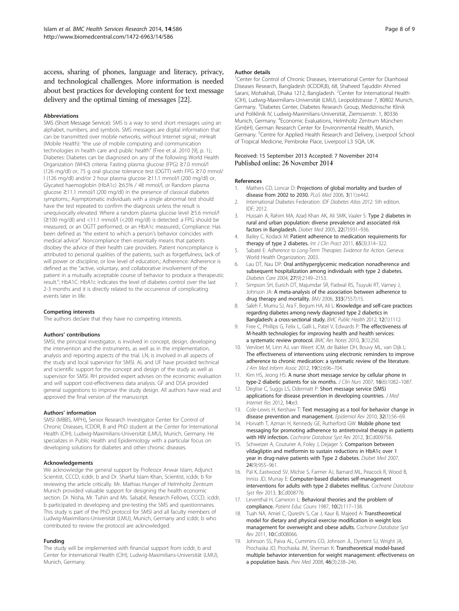<span id="page-7-0"></span>access, sharing of phones, language and literacy, privacy, and technological challenges. More information is needed about best practices for developing content for text message delivery and the optimal timing of messages [\[22](#page-8-0)].

#### Abbreviations

SMS (Short Message Service): SMS is a way to send short messages using an alphabet, numbers, and symbols. SMS messages are digital information that can be transmitted over mobile networks, without Internet signal.; mHealt (Mobile Health): "the use of mobile computing and communication technologies in health care and public health" (Free et al. 2010 [9], p. 1).; Diabetes: Diabetes can be diagnosed on any of the following World Health Organization (WHO) criteria: Fasting plasma glucose (FPG) ≥7.0 mmol/l (126 mg/dl) or, 75 g oral glucose tolerance test (OGTT) with FPG ≥7.0 mmol/ l (126 mg/dl) and/or 2 hour plasma glucose ≥11.1 mmol/l (200 mg/dl) or, Glycated haemoglobin (HbA1c) ≥6.5% / 48 mmol/l, or Random plasma glucose ≥11.1 mmol/l (200 mg/dl) in the presence of classical diabetes symptoms.; Asymptomatic individuals with a single abnormal test should have the test repeated to confirm the diagnosis unless the result is unequivocally elevated. Where a random plasma glucose level ≥5.6 mmol/l (≥100 mg/dl) and <11.1 mmol/l (<200 mg/dl) is detected: a FPG should be measured, or an OGTT performed, or an HbA1c measured.; Compliance: Has been defined as "the extent to which a person's behavior coincides with medical advice". Noncompliance then essentially means that patients disobey the advice of their health care providers. Patient noncompliance is attributed to personal qualities of the patients, such as forgetfulness, lack of will power or discipline, or low level of education.; Adherence: Adherence is defined as the "active, voluntary, and collaborative involvement of the patient in a mutually acceptable course of behavior to produce a therapeutic result."; HbA1C: HbA1c indicates the level of diabetes control over the last 2-3 months and it is directly related to the occurrence of complicating events later in life.

#### Competing interests

The authors declare that they have no competing interests.

#### Authors' contributions

SMSI, the principal investigator, is involved in concept, design, developing the intervention and the instruments, as well as in the implementation, analysis and reporting aspects of the trial. LN, is involved in all aspects of the study and local supervisor for SMSI. AL and UF have provided technical and scientific support for the concept and design of the study as well as supervisor for SMSI. RH provided expert advises on the economic evaluation and will support cost-effectiveness data analysis. GF and DSA provided general suggestions to improve the study design. All authors have read and approved the final version of the manuscript.

#### Authors' information

SMSI (MBBS, MPH), Senior Research Investigator Center for Control of Chronic Diseases, ICDDR, B and PhD student at the Center for International Health (CIH), Ludwig-Maximilians-Universität (LMU), Munich, Germany. He specializes in Public Health and Epidemiology with a particular focus on developing solutions for diabetes and other chronic diseases.

#### Acknowledgements

We acknowledge the general support by Professor Anwar Islam, Adjunct Scientist, CCCD, icddr, b and Dr. Sharful Islam Khan, Scientist, icddr, b for reviewing the article critically. Mr. Mathias Hunger of Helmholtz Zentrum Munich provided valuable support for designing the health economic section. Dr. Nisha, Mr. Tuhin and Ms. Salsabil, Research Fellows, CCCD, icddr, b participated in developing and pre-testing the SMS and questionnaires. This study is part of the PhD protocol for SMSI and all faculty members of Ludwig-Maximilians-Universität (LMU), Munich, Germany and icddr, b who contributed to review the protocol are acknowledged.

#### Funding

The study will be implemented with financial support from icddr, b and Center for International Health (CIH), Ludwig-Maximilians-Universität (LMU), Munich, Germany.

#### Author details

<sup>1</sup> Center for Control of Chronic Diseases, International Center for Diarrhoeal Diseases Research, Bangladesh (ICDDR,B), 68, Shaheed Tajuddin Ahmed Sarani, Mohakhali, Dhaka 1212, Bangladesh. <sup>2</sup>Center for International Health (CIH), Ludwig-Maximilians-Universität (LMU), Leopoldstrasse 7, 80802 Munich, Germany. <sup>3</sup>Diabetes Center, Diabetes Research Group, Medizinische Klinik und Poliklinik IV, Ludwig-Maximilians-Universität, Ziemssenstr. 1, 80336 Munich, Germany. <sup>4</sup> Economic Evaluations, Helmholtz Zentrum München (GmbH), German Research Center for Environmental Health, Munich, Germany.<sup>5</sup> Centre for Applied Health Research and Delivery, Liverpool School of Tropical Medicine, Pembroke Place, Liverpool L3 5QA, UK.

#### Received: 15 September 2013 Accepted: 7 November 2014 Published online: 26 November 2014

#### References

- 1. Mathers CD, Loncar D: Projections of global mortality and burden of disease from 2002 to 2030. PLoS Med 2006, 3(11):e442.
- International Diabetes Federation: IDF Diabetes Atlas 2012. 5th edition. IDF; 2012.
- 3. Hussain A, Rahim MA, Azad Khan AK, Ali SMK, Vaaler S: Type 2 diabetes in rural and urban population: diverse prevalence and associated risk factors in Bangladesh. Diabet Med 2005, 22(7):931–936.
- 4. Bailey C, Kodack M: Patient adherence to medication requirements for therapy of type 2 diabetes. Int J Clin Pract 2011, 65(3):314–322.
- 5. Sabaté E: Adherence to Long-Term Therapies: Evidence for Action. Geneva: World Health Organization; 2003.
- 6. Lau DT, Nau DP: Oral antihyperglycemic medication nonadherence and subsequent hospitalization among individuals with type 2 diabetes. Diabetes Care 2004, 27(9):2149–2153.
- Simpson SH, Eurich DT, Majumdar SR, Padwal RS, Tsuyuki RT, Varney J, Johnson JA: A meta-analysis of the association between adherence to drug therapy and mortality. BMJ 2006, 333(7557):15.
- 8. Saleh F, Mumu SJ, Ara F, Begum HA, Ali L: Knowledge and self-care practices regarding diabetes among newly diagnosed type 2 diabetics in Bangladesh: a cross-sectional study. BMC Public Health 2012, 12(1):1112.
- 9. Free C, Phillips G, Felix L, Galli L, Patel V, Edwards P: The effectiveness of M-health technologies for improving health and health services: a systematic review protocol. BMC Res Notes 2010, 3(1):250.
- 10. Vervloet M, Linn AJ, van Weert JCM, de Bakker DH, Bouvy ML, van Dijk L: The effectiveness of interventions using electronic reminders to improve adherence to chronic medication: a systematic review of the literature. J Am Med Inform Assoc 2012, 19(5):696–704.
- 11. Kim HS, Jeong HS: A nurse short message service by cellular phone in type-2 diabetic patients for six months. J Clin Nurs 2007, 16(6):1082-1087.
- 12. Deglise C, Suggs LS, Odermatt P: Short message service (SMS) applications for disease prevention in developing countries. J Med Internet Res 2012, 14:e3.
- 13. Cole-Lewis H, Kershaw T: Text messaging as a tool for behavior change in disease prevention and management. Epidemiol Rev 2010, 32(1):56–69.
- 14. Horvath T, Azman H, Kennedy GE, Rutherford GW: Mobile phone text messaging for promoting adherence to antiretroviral therapy in patients with HIV infection. Cochrane Database Syst Rev 2012, 3:Cd009756.
- 15. Schweizer A, Couturier A, Foley J, Dejager S: Comparison between vildagliptin and metformin to sustain reductions in HbA1c over 1 year in drug-naïve patients with Type 2 diabetes. Diabet Med 2007, 24(9):955–961.
- 16. Pal K, Eastwood SV, Michie S, Farmer AJ, Barnard ML, Peacock R, Wood B, Inniss JD, Murray E: Computer-based diabetes self-management interventions for adults with type 2 diabetes mellitus. Cochrane Database Syst Rev 2013, 3:Cd008776.
- 17. Leventhal H, Cameron L: Behavioral theories and the problem of compliance. Patient Educ Couns 1987, 10(2):117–138.
- 18. Tuah NA, Amiel C, Qureshi S, Car J, Kaur B, Majeed A: Transtheoretical model for dietary and physical exercise modification in weight loss management for overweight and obese adults. Cochrane Database Syst Rev 2011, 10:Cd008066.
- 19. Johnson SS, Paiva AL, Cummins CO, Johnson JL, Dyment SJ, Wright JA, Prochaska JO, Prochaska JM, Sherman K: Transtheoretical model-based multiple behavior intervention for weight management: effectiveness on a population basis. Prev Med 2008, 46(3):238–246.